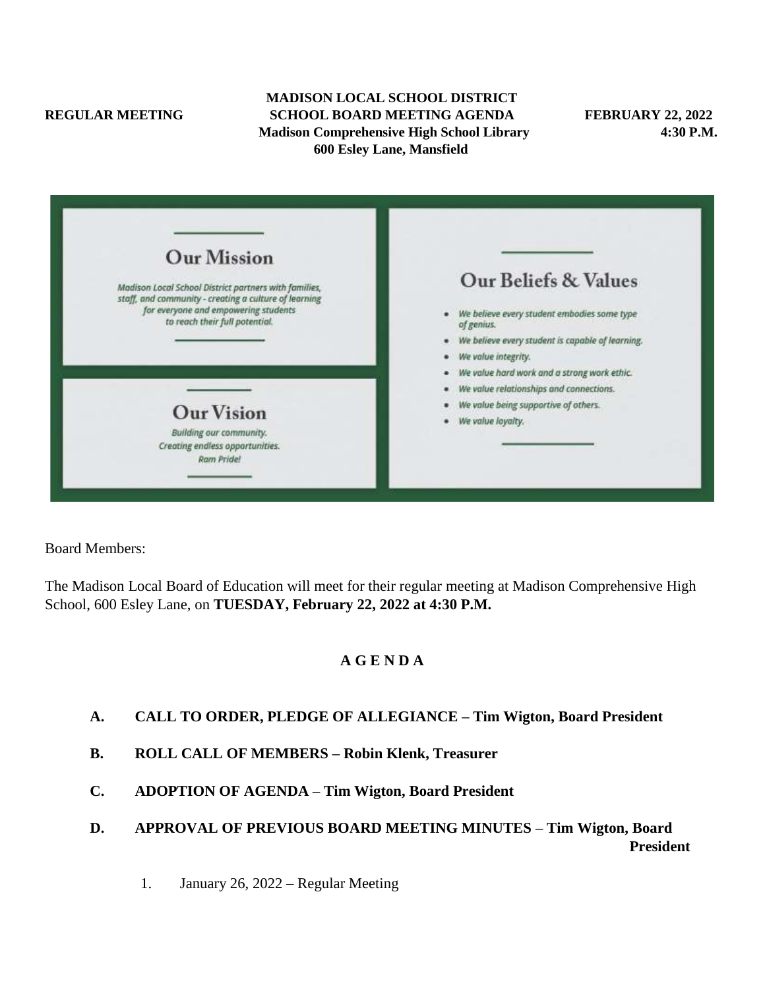#### **MADISON LOCAL SCHOOL DISTRICT REGULAR MEETING SCHOOL BOARD MEETING AGENDA FEBRUARY 22, 2022 Madison Comprehensive High School Library 4:30 P.M. 600 Esley Lane, Mansfield**

| <b>Our Mission</b>                                                                                             |                                                           |
|----------------------------------------------------------------------------------------------------------------|-----------------------------------------------------------|
| Madison Local School District partners with families,<br>staff, and community - creating a culture of learning | <b>Our Beliefs &amp; Values</b>                           |
| for everyone and empowering students<br>to reach their full potential.                                         | We believe every student embodies some type<br>of genius. |
|                                                                                                                | We believe every student is capable of learning.          |
|                                                                                                                | We value integrity.                                       |
|                                                                                                                | We value hard work and a strong work ethic.               |
|                                                                                                                | We value relationships and connections.                   |
| <b>Our Vision</b>                                                                                              | We value being supportive of others.                      |
|                                                                                                                | We value loyalty.                                         |
| Building our community.<br>Creating endless opportunities.<br>Ram Pride!                                       |                                                           |

Board Members:

The Madison Local Board of Education will meet for their regular meeting at Madison Comprehensive High School, 600 Esley Lane, on **TUESDAY, February 22, 2022 at 4:30 P.M.**

# **A G E N D A**

- **A. CALL TO ORDER, PLEDGE OF ALLEGIANCE – Tim Wigton, Board President**
- **B. ROLL CALL OF MEMBERS – Robin Klenk, Treasurer**
- **C. ADOPTION OF AGENDA – Tim Wigton, Board President**
- **D. APPROVAL OF PREVIOUS BOARD MEETING MINUTES – Tim Wigton, Board President**
	- 1. January 26, 2022 Regular Meeting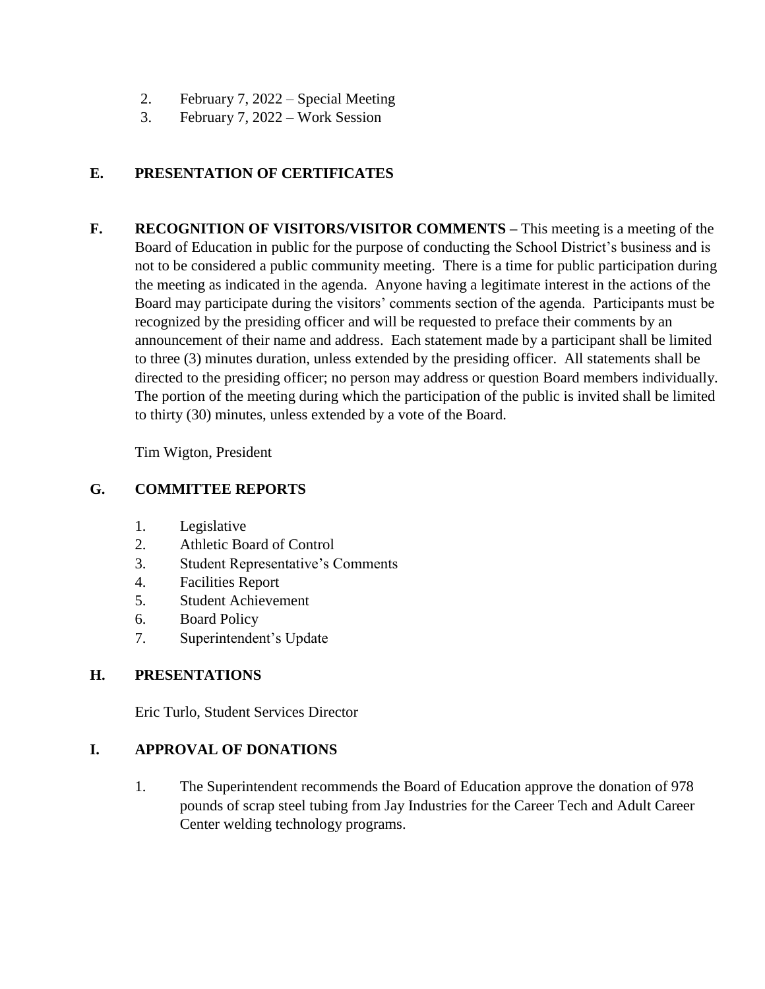- 2. February 7, 2022 Special Meeting
- 3. February 7, 2022 Work Session

# **E. PRESENTATION OF CERTIFICATES**

**F. RECOGNITION OF VISITORS/VISITOR COMMENTS –** This meeting is a meeting of the Board of Education in public for the purpose of conducting the School District's business and is not to be considered a public community meeting. There is a time for public participation during the meeting as indicated in the agenda. Anyone having a legitimate interest in the actions of the Board may participate during the visitors' comments section of the agenda. Participants must be recognized by the presiding officer and will be requested to preface their comments by an announcement of their name and address. Each statement made by a participant shall be limited to three (3) minutes duration, unless extended by the presiding officer. All statements shall be directed to the presiding officer; no person may address or question Board members individually. The portion of the meeting during which the participation of the public is invited shall be limited to thirty (30) minutes, unless extended by a vote of the Board.

Tim Wigton, President

## **G. COMMITTEE REPORTS**

- 1. Legislative
- 2. Athletic Board of Control
- 3. Student Representative's Comments
- 4. Facilities Report
- 5. Student Achievement
- 6. Board Policy
- 7. Superintendent's Update

## **H. PRESENTATIONS**

Eric Turlo, Student Services Director

## **I. APPROVAL OF DONATIONS**

1. The Superintendent recommends the Board of Education approve the donation of 978 pounds of scrap steel tubing from Jay Industries for the Career Tech and Adult Career Center welding technology programs.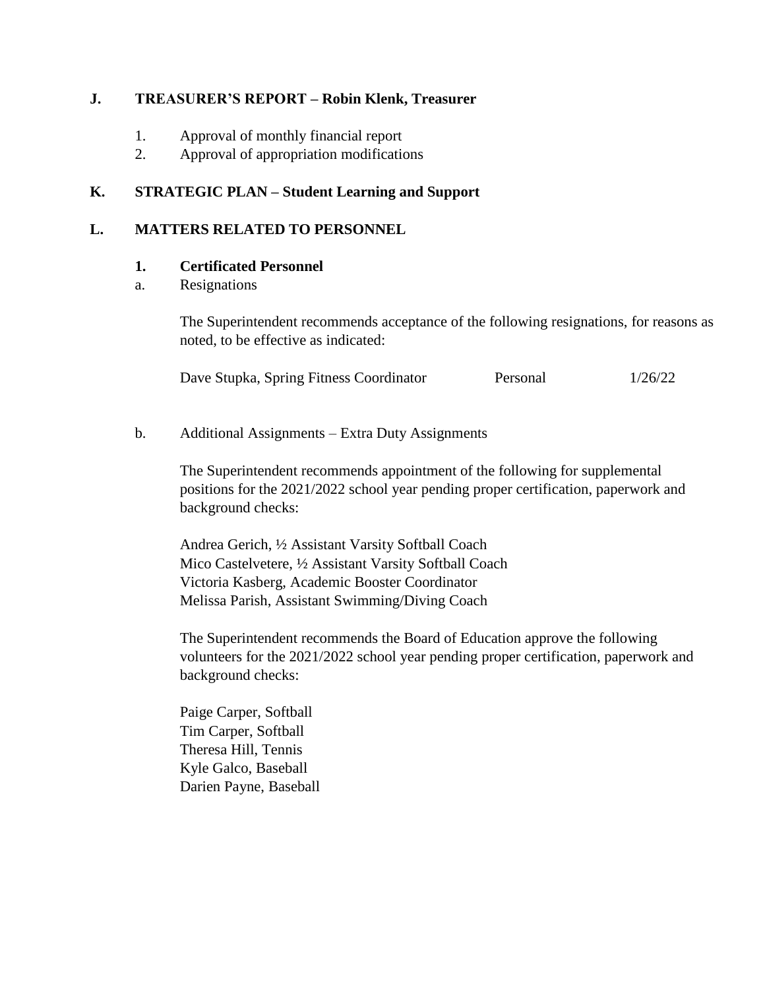## **J. TREASURER'S REPORT – Robin Klenk, Treasurer**

- 1. Approval of monthly financial report
- 2. Approval of appropriation modifications

## **K. STRATEGIC PLAN – Student Learning and Support**

### **L. MATTERS RELATED TO PERSONNEL**

#### **1. Certificated Personnel**

a. Resignations

The Superintendent recommends acceptance of the following resignations, for reasons as noted, to be effective as indicated:

|  | Dave Stupka, Spring Fitness Coordinator | Personal | 1/26/22 |
|--|-----------------------------------------|----------|---------|
|  |                                         |          |         |

### b. Additional Assignments – Extra Duty Assignments

The Superintendent recommends appointment of the following for supplemental positions for the 2021/2022 school year pending proper certification, paperwork and background checks:

Andrea Gerich, ½ Assistant Varsity Softball Coach Mico Castelvetere, ½ Assistant Varsity Softball Coach Victoria Kasberg, Academic Booster Coordinator Melissa Parish, Assistant Swimming/Diving Coach

The Superintendent recommends the Board of Education approve the following volunteers for the 2021/2022 school year pending proper certification, paperwork and background checks:

Paige Carper, Softball Tim Carper, Softball Theresa Hill, Tennis Kyle Galco, Baseball Darien Payne, Baseball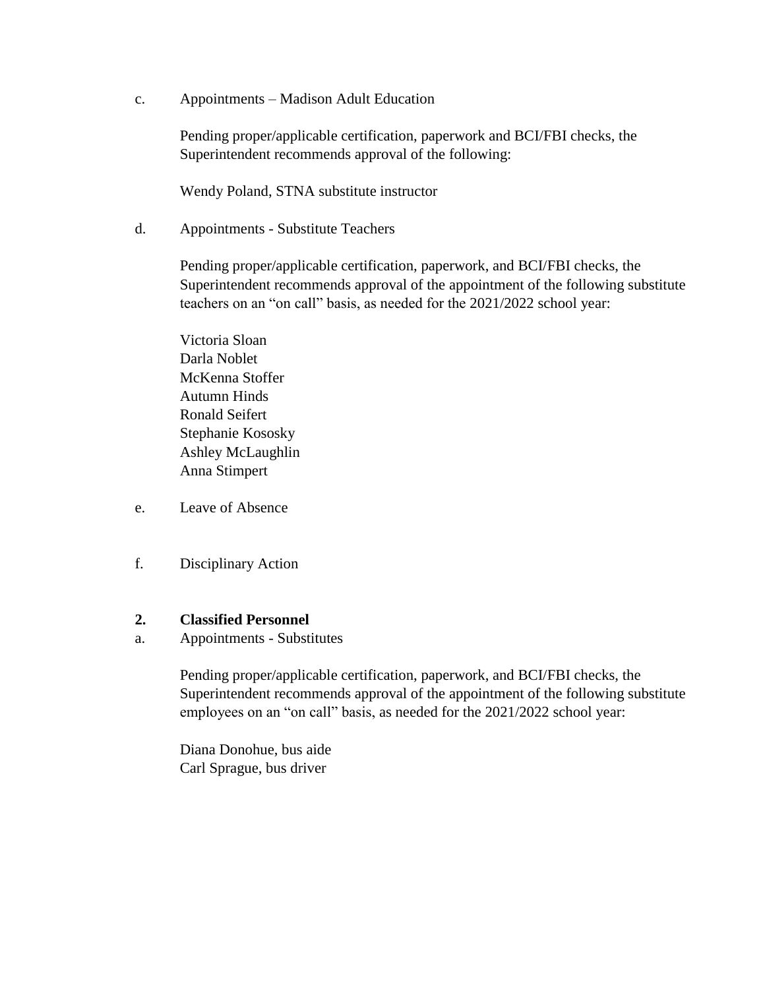c. Appointments – Madison Adult Education

Pending proper/applicable certification, paperwork and BCI/FBI checks, the Superintendent recommends approval of the following:

Wendy Poland, STNA substitute instructor

d. Appointments - Substitute Teachers

Pending proper/applicable certification, paperwork, and BCI/FBI checks, the Superintendent recommends approval of the appointment of the following substitute teachers on an "on call" basis, as needed for the 2021/2022 school year:

Victoria Sloan Darla Noblet McKenna Stoffer Autumn Hinds Ronald Seifert Stephanie Kososky Ashley McLaughlin Anna Stimpert

- e. Leave of Absence
- f. Disciplinary Action

#### **2. Classified Personnel**

a. Appointments - Substitutes

Pending proper/applicable certification, paperwork, and BCI/FBI checks, the Superintendent recommends approval of the appointment of the following substitute employees on an "on call" basis, as needed for the 2021/2022 school year:

Diana Donohue, bus aide Carl Sprague, bus driver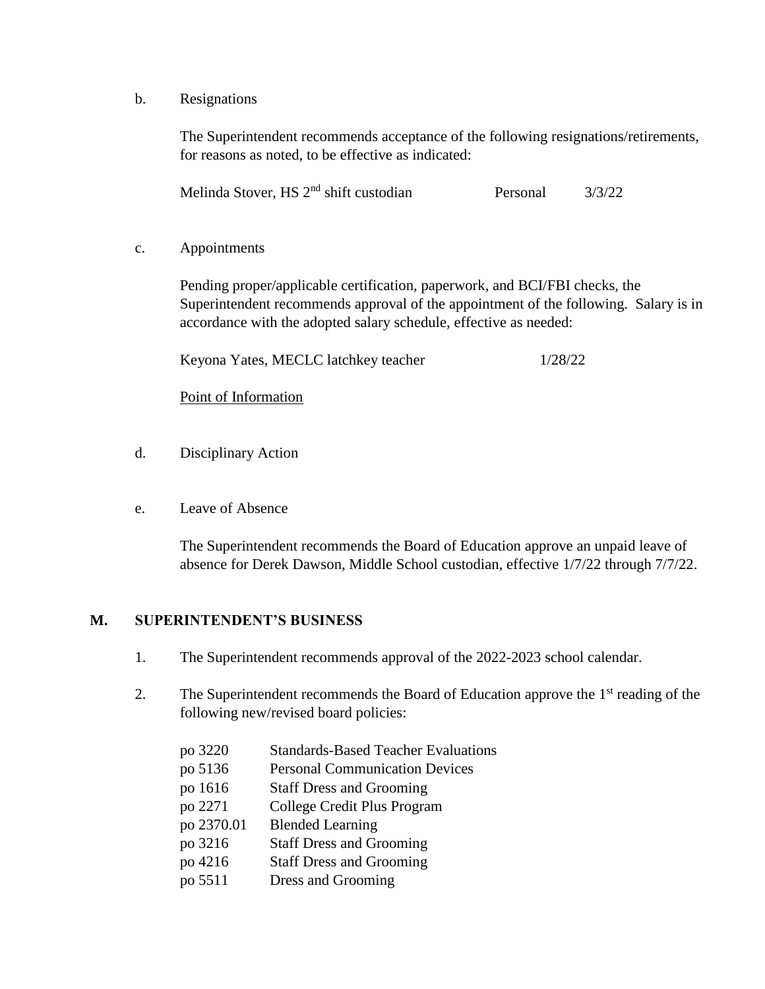b. Resignations

The Superintendent recommends acceptance of the following resignations/retirements, for reasons as noted, to be effective as indicated:

Melinda Stover, HS 2<sup>nd</sup> shift custodian Personal 3/3/22

c. Appointments

Pending proper/applicable certification, paperwork, and BCI/FBI checks, the Superintendent recommends approval of the appointment of the following. Salary is in accordance with the adopted salary schedule, effective as needed:

Keyona Yates, MECLC latchkey teacher 1/28/22

Point of Information

- d. Disciplinary Action
- e. Leave of Absence

The Superintendent recommends the Board of Education approve an unpaid leave of absence for Derek Dawson, Middle School custodian, effective 1/7/22 through 7/7/22.

## **M. SUPERINTENDENT'S BUSINESS**

- 1. The Superintendent recommends approval of the 2022-2023 school calendar.
- 2. The Superintendent recommends the Board of Education approve the  $1<sup>st</sup>$  reading of the following new/revised board policies:

| po 3220    | <b>Standards-Based Teacher Evaluations</b> |
|------------|--------------------------------------------|
| po 5136    | <b>Personal Communication Devices</b>      |
| po 1616    | <b>Staff Dress and Grooming</b>            |
| po 2271    | College Credit Plus Program                |
| po 2370.01 | <b>Blended Learning</b>                    |
| po 3216    | <b>Staff Dress and Grooming</b>            |
| po 4216    | <b>Staff Dress and Grooming</b>            |
| po 5511    | Dress and Grooming                         |
|            |                                            |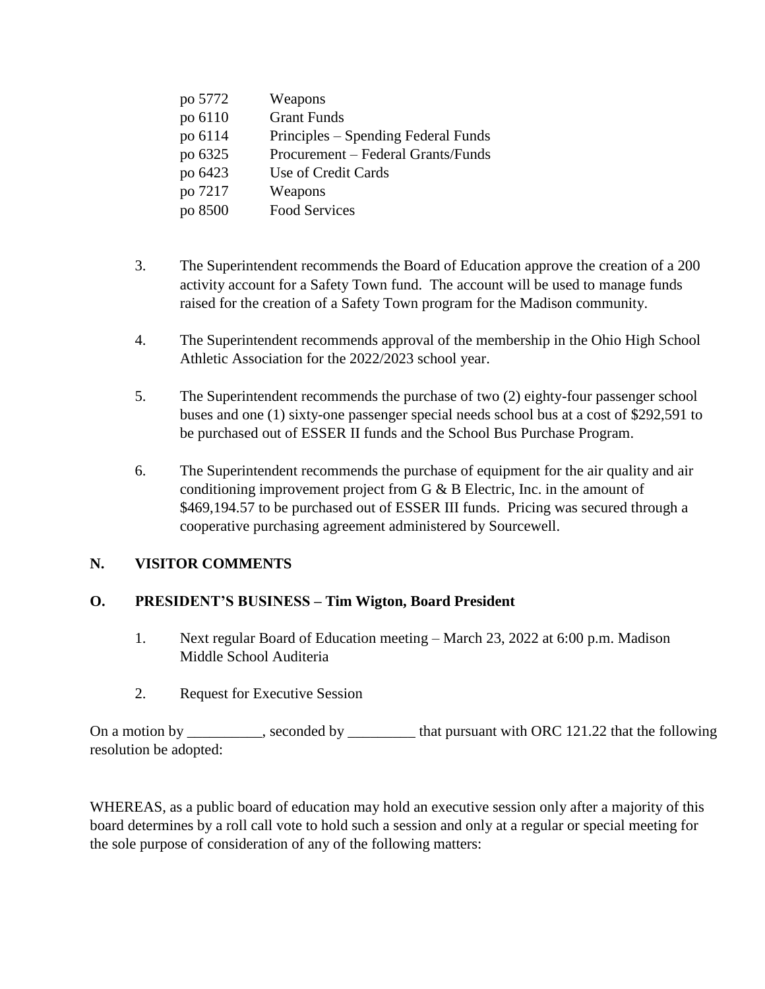| po 5772 | Weapons                             |
|---------|-------------------------------------|
| po 6110 | <b>Grant Funds</b>                  |
| po 6114 | Principles – Spending Federal Funds |
| po 6325 | Procurement – Federal Grants/Funds  |
| po 6423 | Use of Credit Cards                 |
| po 7217 | Weapons                             |
| po 8500 | <b>Food Services</b>                |

- 3. The Superintendent recommends the Board of Education approve the creation of a 200 activity account for a Safety Town fund. The account will be used to manage funds raised for the creation of a Safety Town program for the Madison community.
- 4. The Superintendent recommends approval of the membership in the Ohio High School Athletic Association for the 2022/2023 school year.
- 5. The Superintendent recommends the purchase of two (2) eighty-four passenger school buses and one (1) sixty-one passenger special needs school bus at a cost of \$292,591 to be purchased out of ESSER II funds and the School Bus Purchase Program.
- 6. The Superintendent recommends the purchase of equipment for the air quality and air conditioning improvement project from G & B Electric, Inc. in the amount of \$469,194.57 to be purchased out of ESSER III funds. Pricing was secured through a cooperative purchasing agreement administered by Sourcewell.

# **N. VISITOR COMMENTS**

# **O. PRESIDENT'S BUSINESS – Tim Wigton, Board President**

- 1. Next regular Board of Education meeting March 23, 2022 at 6:00 p.m. Madison Middle School Auditeria
- 2. Request for Executive Session

On a motion by \_\_\_\_\_\_\_\_, seconded by \_\_\_\_\_\_\_\_ that pursuant with ORC 121.22 that the following resolution be adopted:

WHEREAS, as a public board of education may hold an executive session only after a majority of this board determines by a roll call vote to hold such a session and only at a regular or special meeting for the sole purpose of consideration of any of the following matters: